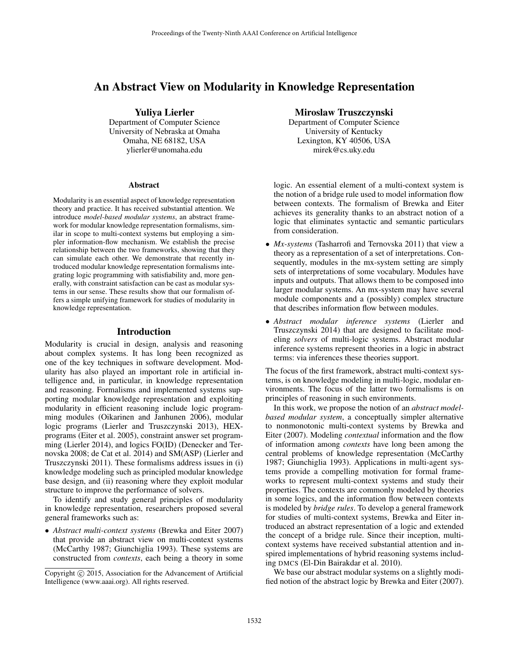# An Abstract View on Modularity in Knowledge Representation

Yuliya Lierler Department of Computer Science University of Nebraska at Omaha Omaha, NE 68182, USA ylierler@unomaha.edu

#### Abstract

Modularity is an essential aspect of knowledge representation theory and practice. It has received substantial attention. We introduce *model-based modular systems*, an abstract framework for modular knowledge representation formalisms, similar in scope to multi-context systems but employing a simpler information-flow mechanism. We establish the precise relationship between the two frameworks, showing that they can simulate each other. We demonstrate that recently introduced modular knowledge representation formalisms integrating logic programming with satisfiability and, more generally, with constraint satisfaction can be cast as modular systems in our sense. These results show that our formalism offers a simple unifying framework for studies of modularity in knowledge representation.

### Introduction

Modularity is crucial in design, analysis and reasoning about complex systems. It has long been recognized as one of the key techniques in software development. Modularity has also played an important role in artificial intelligence and, in particular, in knowledge representation and reasoning. Formalisms and implemented systems supporting modular knowledge representation and exploiting modularity in efficient reasoning include logic programming modules (Oikarinen and Janhunen 2006), modular logic programs (Lierler and Truszczynski 2013), HEXprograms (Eiter et al. 2005), constraint answer set programming (Lierler 2014), and logics FO(ID) (Denecker and Ternovska 2008; de Cat et al. 2014) and SM(ASP) (Lierler and Truszczynski 2011). These formalisms address issues in (i) knowledge modeling such as principled modular knowledge base design, and (ii) reasoning where they exploit modular structure to improve the performance of solvers.

To identify and study general principles of modularity in knowledge representation, researchers proposed several general frameworks such as:

• *Abstract multi-context systems* (Brewka and Eiter 2007) that provide an abstract view on multi-context systems (McCarthy 1987; Giunchiglia 1993). These systems are constructed from *contexts*, each being a theory in some

#### Miroslaw Truszczynski

Department of Computer Science University of Kentucky Lexington, KY 40506, USA mirek@cs.uky.edu

logic. An essential element of a multi-context system is the notion of a bridge rule used to model information flow between contexts. The formalism of Brewka and Eiter achieves its generality thanks to an abstract notion of a logic that eliminates syntactic and semantic particulars from consideration.

- *Mx-systems* (Tasharrofi and Ternovska 2011) that view a theory as a representation of a set of interpretations. Consequently, modules in the mx-system setting are simply sets of interpretations of some vocabulary. Modules have inputs and outputs. That allows them to be composed into larger modular systems. An mx-system may have several module components and a (possibly) complex structure that describes information flow between modules.
- *Abstract modular inference systems* (Lierler and Truszczynski 2014) that are designed to facilitate modeling *solvers* of multi-logic systems. Abstract modular inference systems represent theories in a logic in abstract terms: via inferences these theories support.

The focus of the first framework, abstract multi-context systems, is on knowledge modeling in multi-logic, modular environments. The focus of the latter two formalisms is on principles of reasoning in such environments.

In this work, we propose the notion of an *abstract modelbased modular system*, a conceptually simpler alternative to nonmonotonic multi-context systems by Brewka and Eiter (2007). Modeling *contextual* information and the flow of information among *contexts* have long been among the central problems of knowledge representation (McCarthy 1987; Giunchiglia 1993). Applications in multi-agent systems provide a compelling motivation for formal frameworks to represent multi-context systems and study their properties. The contexts are commonly modeled by theories in some logics, and the information flow between contexts is modeled by *bridge rules*. To develop a general framework for studies of multi-context systems, Brewka and Eiter introduced an abstract representation of a logic and extended the concept of a bridge rule. Since their inception, multicontext systems have received substantial attention and inspired implementations of hybrid reasoning systems including DMCS (El-Din Bairakdar et al. 2010).

We base our abstract modular systems on a slightly modified notion of the abstract logic by Brewka and Eiter (2007).

Copyright (c) 2015, Association for the Advancement of Artificial Intelligence (www.aaai.org). All rights reserved.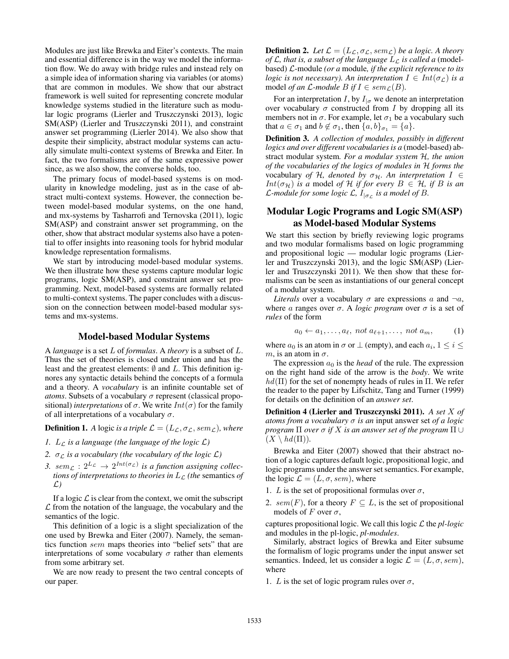Modules are just like Brewka and Eiter's contexts. The main and essential difference is in the way we model the information flow. We do away with bridge rules and instead rely on a simple idea of information sharing via variables (or atoms) that are common in modules. We show that our abstract framework is well suited for representing concrete modular knowledge systems studied in the literature such as modular logic programs (Lierler and Truszczynski 2013), logic SM(ASP) (Lierler and Truszczynski 2011), and constraint answer set programming (Lierler 2014). We also show that despite their simplicity, abstract modular systems can actually simulate multi-context systems of Brewka and Eiter. In fact, the two formalisms are of the same expressive power since, as we also show, the converse holds, too.

The primary focus of model-based systems is on modularity in knowledge modeling, just as in the case of abstract multi-context systems. However, the connection between model-based modular systems, on the one hand, and mx-systems by Tasharrofi and Ternovska (2011), logic SM(ASP) and constraint answer set programming, on the other, show that abstract modular systems also have a potential to offer insights into reasoning tools for hybrid modular knowledge representation formalisms.

We start by introducing model-based modular systems. We then illustrate how these systems capture modular logic programs, logic SM(ASP), and constraint answer set programming. Next, model-based systems are formally related to multi-context systems. The paper concludes with a discussion on the connection between model-based modular systems and mx-systems.

### Model-based Modular Systems

A *language* is a set L of *formulas*. A *theory* is a subset of L. Thus the set of theories is closed under union and has the least and the greatest elements:  $\emptyset$  and L. This definition ignores any syntactic details behind the concepts of a formula and a theory. A *vocabulary* is an infinite countable set of *atoms*. Subsets of a vocabulary  $\sigma$  represent (classical propositional) *interpretations* of  $\sigma$ . We write  $Int(\sigma)$  for the family of all interpretations of a vocabulary  $\sigma$ .

**Definition 1.** *A* logic *is a triple*  $\mathcal{L} = (L_{\mathcal{L}}, \sigma_{\mathcal{L}}, sem_{\mathcal{L}})$ *, where* 

- *1.*  $L_{\mathcal{L}}$  *is a language (the language of the logic*  $\mathcal{L}$ )
- *2.*  $\sigma_{\mathcal{L}}$  *is a vocabulary (the vocabulary of the logic*  $\mathcal{L}$ *)*
- 3. sem<sub> $\mathcal{L}: 2^{L_{\mathcal{L}}} \to 2^{Int(\sigma_{\mathcal{L}})}$  is a function assigning collec-</sub> *tions of interpretations to theories in*  $L_{\mathcal{L}}$  *(the semantics of* L*)*

If a logic  $\mathcal L$  is clear from the context, we omit the subscript  $\mathcal L$  from the notation of the language, the vocabulary and the semantics of the logic.

This definition of a logic is a slight specialization of the one used by Brewka and Eiter (2007). Namely, the semantics function sem maps theories into "belief sets" that are interpretations of some vocabulary  $\sigma$  rather than elements from some arbitrary set.

We are now ready to present the two central concepts of our paper.

**Definition 2.** Let  $\mathcal{L} = (L_{\mathcal{L}}, \sigma_{\mathcal{L}}, sem_{\mathcal{L}})$  be a logic. A theory *of*  $\mathcal{L}$ *, that is, a subset of the language*  $L_{\mathcal{L}}$  *is called a* (modelbased) L-module *(or a* module*, if the explicit reference to its logic is not necessary*). An interpretation  $I \in Int(\sigma_{\mathcal{L}})$  *is a* model *of an*  $\mathcal{L}$ *-module*  $B$  *if*  $I \in sem_{\mathcal{L}}(B)$ *.* 

For an interpretation I, by  $I_{\sigma}$  we denote an interpretation over vocabulary  $\sigma$  constructed from I by dropping all its members not in  $\sigma$ . For example, let  $\sigma_1$  be a vocabulary such that  $a \in \sigma_1$  and  $b \notin \sigma_1$ , then  $\{a, b\}_{\sigma_1} = \{a\}.$ 

Definition 3. *A collection of modules, possibly in different logics and over different vocabularies is a* (model-based) abstract modular system*. For a modular system* H*, the union of the vocabularies of the logics of modules in* H *forms the* vocabulary *of* H, denoted by  $\sigma_{\mathcal{H}}$ . An interpretation  $I \in$ *Int*( $\sigma$ <sub>H</sub>) *is a* model *of* H *if for every*  $B \in H$ , *if* B *is an L*-module for some logic *L*,  $I_{|\sigma_L}$  is a model of *B*.

# Modular Logic Programs and Logic SM(ASP) as Model-based Modular Systems

We start this section by briefly reviewing logic programs and two modular formalisms based on logic programming and propositional logic — modular logic programs (Lierler and Truszczynski 2013), and the logic SM(ASP) (Lierler and Truszczynski 2011). We then show that these formalisms can be seen as instantiations of our general concept of a modular system.

*Literals* over a vocabulary  $\sigma$  are expressions a and  $\neg a$ , where a ranges over  $\sigma$ . A *logic program* over  $\sigma$  is a set of *rules* of the form

$$
a_0 \leftarrow a_1, \dots, a_\ell, \text{ not } a_{\ell+1}, \dots, \text{ not } a_m,
$$
 (1)

where  $a_0$  is an atom in  $\sigma$  or  $\perp$  (empty), and each  $a_i$ ,  $1 \le i \le$ m, is an atom in  $\sigma$ .

The expression  $a_0$  is the *head* of the rule. The expression on the right hand side of the arrow is the *body*. We write  $hd(\Pi)$  for the set of nonempty heads of rules in  $\Pi$ . We refer the reader to the paper by Lifschitz, Tang and Turner (1999) for details on the definition of an *answer set*.

Definition 4 (Lierler and Truszczynski 2011). *A set* X *of atoms from a vocabulary* σ *is an* input answer set *of a logic program*  $\Pi$  *over*  $\sigma$  *if* X *is an answer set of the program*  $\Pi \cup$  $(X \setminus hd(\Pi)).$ 

Brewka and Eiter (2007) showed that their abstract notion of a logic captures default logic, propositional logic, and logic programs under the answer set semantics. For example, the logic  $\mathcal{L} = (L, \sigma, sem)$ , where

- 1. L is the set of propositional formulas over  $\sigma$ ,
- 2. sem(F), for a theory  $F \subseteq L$ , is the set of propositional models of F over  $\sigma$ ,

captures propositional logic. We call this logic L the *pl-logic* and modules in the pl-logic, *pl-modules*.

Similarly, abstract logics of Brewka and Eiter subsume the formalism of logic programs under the input answer set semantics. Indeed, let us consider a logic  $\mathcal{L} = (L, \sigma, sem)$ , where

1. L is the set of logic program rules over  $\sigma$ ,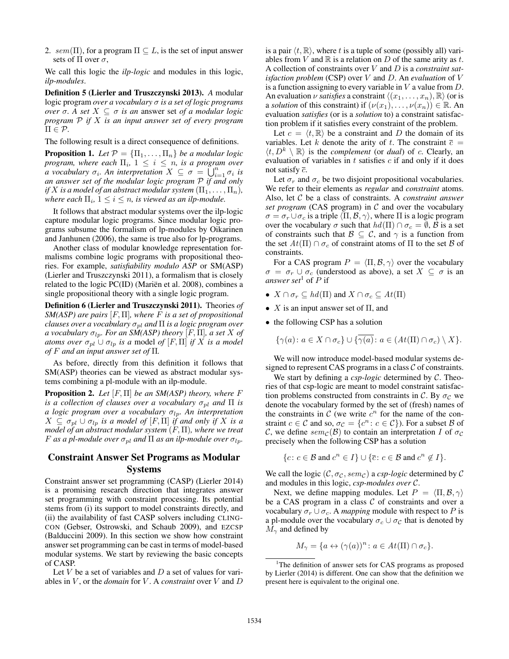2. sem(Π), for a program  $\Pi \subseteq L$ , is the set of input answer sets of  $\Pi$  over  $\sigma$ ,

We call this logic the *ilp-logic* and modules in this logic, *ilp-modules*.

Definition 5 (Lierler and Truszczynski 2013). *A* modular logic program *over a vocabulary* σ *is a set of logic programs over*  $\sigma$ . A set  $X \subseteq \sigma$  *is an* answer set *of a modular logic program* P *if* X *is an input answer set of every program*  $\Pi \in \mathcal{P}$ .

The following result is a direct consequence of definitions.

**Proposition 1.** Let  $\mathcal{P} = {\Pi_1, \dots, \Pi_n}$  be a modular logic *program, where each*  $\Pi_i$ ,  $1 \leq i \leq n$ , *is a program over a* vocabulary  $\sigma_i$ . An interpretation  $X \subseteq \sigma = \bigcup_{i=1}^n \sigma_i$  is *an answer set of the modular logic program* P *if and only if* X is a model of an abstract modular system  $(\Pi_1, \ldots, \Pi_n)$ , where each  $\Pi_i$ ,  $1 \leq i \leq n$ , is viewed as an ilp-module.

It follows that abstract modular systems over the ilp-logic capture modular logic programs. Since modular logic programs subsume the formalism of lp-modules by Oikarinen and Janhunen (2006), the same is true also for lp-programs.

Another class of modular knowledge representation formalisms combine logic programs with propositional theories. For example, *satisfiability modulo ASP* or SM(ASP) (Lierler and Truszczynski 2011), a formalism that is closely related to the logic PC(ID) (Mariën et al. 2008), combines a single propositional theory with a single logic program.

Definition 6 (Lierler and Truszczynski 2011). Theories *of SM(ASP) are pairs* [F, Π]*, where* F *is a set of propositional clauses over a vocabulary*  $\sigma_{pl}$  *and*  $\Pi$  *is a logic program over a vocabulary*  $\sigma_{lp}$ *. For an SM(ASP) theory* [F,  $\Pi$ ]*, a set* X of *atoms over*  $\sigma_{pl}$   $\cup$   $\sigma_{lp}$  *is a* model *of* [*F*,  $\Pi$ ] *if*  $\overline{X}$  *is a model of* F *and an input answer set of* Π*.*

As before, directly from this definition it follows that SM(ASP) theories can be viewed as abstract modular systems combining a pl-module with an ilp-module.

Proposition 2. *Let* [F, Π] *be an SM(ASP) theory, where* F *is a collection of clauses over a vocabulary*  $\sigma_{pl}$  *and*  $\Pi$  *is a logic program over a vocabulary*  $σ<sub>lp</sub>$ . An interpretation  $X \subseteq \sigma_{pl} \cup \sigma_{lp}$  *is a model of* [F,  $\Pi$ ] *if and only if* X *is a model of an abstract modular system* (F, Π)*, where we treat F* as a pl-module over  $\sigma_{pl}$  and  $\Pi$  as an ilp-module over  $\sigma_{lp}$ .

## Constraint Answer Set Programs as Modular Systems

Constraint answer set programming (CASP) (Lierler 2014) is a promising research direction that integrates answer set programming with constraint processing. Its potential stems from (i) its support to model constraints directly, and (ii) the availability of fast CASP solvers including CLING-CON (Gebser, Ostrowski, and Schaub 2009), and EZCSP (Balduccini 2009). In this section we show how constraint answer set programming can be cast in terms of model-based modular systems. We start by reviewing the basic concepts of CASP.

Let  $V$  be a set of variables and  $D$  a set of values for variables in V , or the *domain* for V . A *constraint* over V and D

is a pair  $\langle t, \mathbb{R} \rangle$ , where t is a tuple of some (possibly all) variables from V and  $\mathbb R$  is a relation on D of the same arity as t. A collection of constraints over V and D is a *constraint satisfaction problem* (CSP) over V and D. An *evaluation* of V is a function assigning to every variable in  $V$  a value from  $D$ . An evaluation  $\nu$  *satisfies* a constraint  $\langle (x_1, \ldots, x_n), \mathbb{R} \rangle$  (or is a *solution* of this constraint) if  $(\nu(x_1), \ldots, \nu(x_n)) \in \mathbb{R}$ . An evaluation *satisfies* (or is a *solution* to) a constraint satisfaction problem if it satisfies every constraint of the problem.

Let  $c = \langle t, \mathbb{R} \rangle$  be a constraint and D the domain of its variables. Let k denote the arity of t. The constraint  $\bar{c}$  =  $\langle t, D^k \setminus \mathbb{R} \rangle$  is the *complement* (or *dual*) of c. Clearly, an evaluation of variables in  $t$  satisfies  $c$  if and only if it does not satisfy  $\overline{c}$ .

Let  $\sigma_r$  and  $\sigma_c$  be two disjoint propositional vocabularies. We refer to their elements as *regular* and *constraint* atoms. Also, let C be a class of constraints. A *constraint answer set program* (CAS program) in  $C$  and over the vocabulary  $\sigma = \sigma_r \cup \sigma_c$  is a triple  $\langle \Pi, \mathcal{B}, \gamma \rangle$ , where  $\Pi$  is a logic program over the vocabulary  $\sigma$  such that  $hd(\Pi) \cap \sigma_c = \emptyset$ ,  $\mathcal B$  is a set of constraints such that  $\mathcal{B} \subset \mathcal{C}$ , and  $\gamma$  is a function from the set  $At(\Pi) \cap \sigma_c$  of constraint atoms of  $\Pi$  to the set  $\beta$  of constraints.

For a CAS program  $P = \langle \Pi, \mathcal{B}, \gamma \rangle$  over the vocabulary  $\sigma = \sigma_r \cup \sigma_c$  (understood as above), a set  $X \subseteq \sigma$  is an *answer set*<sup>1</sup> of  $P$  if

- $X \cap \sigma_r \subseteq hd(\Pi)$  and  $X \cap \sigma_c \subseteq At(\Pi)$
- X is an input answer set of  $\Pi$ , and
- the following CSP has a solution

$$
\{\gamma(a) \colon a \in X \cap \sigma_c\} \cup \{\overline{\gamma(a)} \colon a \in (At(\Pi) \cap \sigma_c) \setminus X\}.
$$

We will now introduce model-based modular systems designed to represent CAS programs in a class  $\mathcal C$  of constraints.

We start by defining a *csp-logic* determined by C. Theories of that csp-logic are meant to model constraint satisfaction problems constructed from constraints in C. By  $\sigma_c$  we denote the vocabulary formed by the set of (fresh) names of the constraints in  $\mathcal C$  (we write  $c^n$  for the name of the constraint  $c \in \mathcal{C}$  and so,  $\sigma_{\mathcal{C}} = \{c^n : c \in \mathcal{C}\}\)$ . For a subset  $\mathcal{B}$  of C, we define  $sem_{\mathcal{C}}(\mathcal{B})$  to contain an interpretation I of  $\sigma_{\mathcal{C}}$ precisely when the following CSP has a solution

$$
\{c \colon c \in \mathcal{B} \text{ and } c^n \in I\} \cup \{\overline{c} \colon c \in \mathcal{B} \text{ and } c^n \notin I\}.
$$

We call the logic  $(C, \sigma_C, sem_C)$  a *csp-logic* determined by C and modules in this logic, *csp-modules over* C.

Next, we define mapping modules. Let  $P = \langle \Pi, \mathcal{B}, \gamma \rangle$ be a CAS program in a class  $C$  of constraints and over a vocabulary  $\sigma_r \cup \sigma_c$ . A *mapping* module with respect to P is a pl-module over the vocabulary  $\sigma_c \cup \sigma_c$  that is denoted by  $M_{\gamma}$  and defined by

$$
M_{\gamma} = \{a \leftrightarrow (\gamma(a))^n : a \in At(\Pi) \cap \sigma_c\}.
$$

<sup>&</sup>lt;sup>1</sup>The definition of answer sets for CAS programs as proposed by Lierler (2014) is different. One can show that the definition we present here is equivalent to the original one.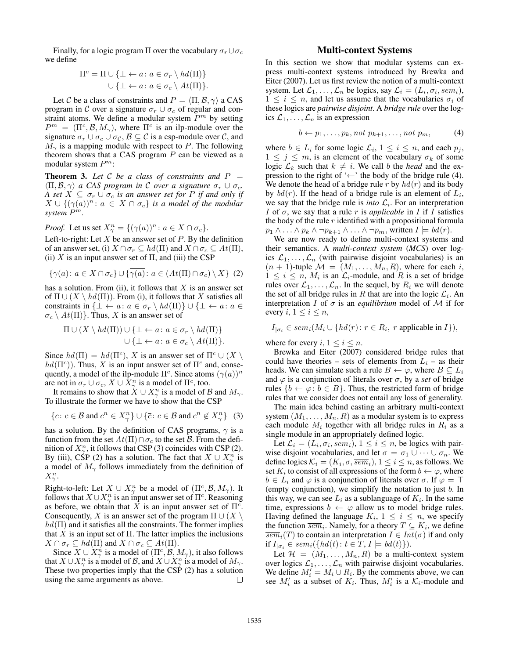Finally, for a logic program  $\Pi$  over the vocabulary  $\sigma_r \cup \sigma_c$ we define

$$
\Pi^c = \Pi \cup \{\bot \leftarrow a \colon a \in \sigma_r \setminus hd(\Pi)\}
$$
  

$$
\cup \{\bot \leftarrow a \colon a \in \sigma_c \setminus At(\Pi)\}.
$$

Let C be a class of constraints and  $P = \langle \Pi, \mathcal{B}, \gamma \rangle$  a CAS program in C over a signature  $\sigma_r \cup \sigma_c$  of regular and constraint atoms. We define a modular system  $P<sup>m</sup>$  by setting  $P^m = (\Pi^c, \mathcal{B}, M_\gamma)$ , where  $\Pi^c$  is an ilp-module over the signature  $\sigma_r \cup \sigma_c \cup \sigma_c$ ,  $\mathcal{B} \subseteq \mathcal{C}$  is a csp-module over  $\mathcal{C}$ , and  $M_{\gamma}$  is a mapping module with respect to P. The following theorem shows that a CAS program  $P$  can be viewed as a modular system  $P^m$ :

**Theorem 3.** Let C be a class of constraints and  $P =$  $\langle \Pi, \mathcal{B}, \gamma \rangle$  *a CAS program in C over a signature*  $\sigma_r \cup \sigma_c$ . *A set*  $X \subseteq \sigma_r \cup \sigma_c$  *is an answer set for* P *if and only if*  $X \cup \{(\gamma(a))^n : a \in X \cap \sigma_c\}$  *is a model of the modular system* P m*.*

*Proof.* Let us set  $X_{\gamma}^{n} = \{(\gamma(a))^{n} : a \in X \cap \sigma_{c}\}.$ 

Left-to-right: Let  $X$  be an answer set of  $P$ . By the definition of an answer set, (i)  $X \cap \sigma_r \subseteq hd(\Pi)$  and  $X \cap \sigma_c \subseteq At(\Pi)$ , (ii)  $X$  is an input answer set of  $\Pi$ , and (iii) the CSP

$$
\{\gamma(a): a \in X \cap \sigma_c\} \cup \{\gamma(a): a \in (At(\Pi) \cap \sigma_c) \setminus X\} \tag{2}
$$

has a solution. From (ii), it follows that  $X$  is an answer set of  $\Pi \cup (X \setminus hd(\Pi))$ . From (i), it follows that X satisfies all constraints in { $\bot \leftarrow a: a \in \sigma_r \setminus hd(\Pi)$ }  $\cup$  { $\bot \leftarrow a: a \in$  $\sigma_c \setminus At(\Pi)$ . Thus, X is an answer set of

$$
\Pi \cup (X \setminus hd(\Pi)) \cup \{\bot \leftarrow a \colon a \in \sigma_r \setminus hd(\Pi)\}
$$

$$
\cup \{\bot \leftarrow a \colon a \in \sigma_c \setminus At(\Pi)\}.
$$

Since  $hd(\Pi) = hd(\Pi^c)$ , X is an answer set of  $\Pi^c \cup (X \setminus$  $hd(\Pi^c)$ ). Thus, X is an input answer set of  $\Pi^c$  and, consequently, a model of the ilp-module  $\Pi^c$ . Since atoms  $(\gamma(a))^n$ are not in  $\sigma_r \cup \sigma_c$ ,  $X \cup \bar{X}^n_\gamma$  is a model of  $\Pi^c$ , too.

It remains to show that  $X \cup X_{\gamma}^{n}$  is a model of B and  $M_{\gamma}$ . To illustrate the former we have to show that the CSP

$$
\{c \colon c \in \mathcal{B} \text{ and } c^n \in X^n_{\gamma} \} \cup \{\overline{c} \colon c \in \mathcal{B} \text{ and } c^n \notin X^n_{\gamma} \} \quad (3)
$$

has a solution. By the definition of CAS programs,  $\gamma$  is a function from the set  $At(\Pi)\cap \sigma_c$  to the set B. From the definition of  $X_{\gamma}^n$ , it follows that CSP (3) coincides with CSP (2). By (iii), CSP (2) has a solution. The fact that  $X \cup X_{\gamma}^{n}$  is a model of  $M_{\gamma}$  follows immediately from the definition of  $X_\gamma^n$ .

Right-to-left: Let  $X \cup X_{\gamma}^{n}$  be a model of  $(\Pi^{c}, \mathcal{B}, M_{\gamma})$ . It follows that  $X \cup X_{\gamma}^n$  is an input answer set of  $\Pi^c$ . Reasoning as before, we obtain that X is an input answer set of  $\Pi^c$ . Consequently, X is an answer set of the program  $\Pi \cup (X \setminus Y)$  $hd(\Pi)$  and it satisfies all the constraints. The former implies that  $X$  is an input set of  $\Pi$ . The latter implies the inclusions  $X \cap \sigma_r \subseteq hd(\Pi)$  and  $X \cap \sigma_c \subseteq At(\Pi)$ .

Since  $X \cup X_\gamma^n$  is a model of  $(\Pi^c, \mathcal{B}, M_\gamma)$ , it also follows that  $X \cup X_{\gamma}^{n}$  is a model of B, and  $X \cup X_{\gamma}^{n}$  is a model of  $M_{\gamma}$ . These two properties imply that the CSP (2) has a solution using the same arguments as above.  $\Box$ 

## Multi-context Systems

In this section we show that modular systems can express multi-context systems introduced by Brewka and Eiter (2007). Let us first review the notion of a multi-context system. Let  $\mathcal{L}_1, \ldots, \mathcal{L}_n$  be logics, say  $\mathcal{L}_i = (L_i, \sigma_i, sem_i)$ ,  $1 \leq i \leq n$ , and let us assume that the vocabularies  $\sigma_i$  of these logics are *pairwise disjoint*. A *bridge rule* over the logics  $\mathcal{L}_1, \ldots, \mathcal{L}_n$  is an expression

$$
b \leftarrow p_1, \dots, p_k, \text{not } p_{k+1}, \dots, \text{not } p_m,
$$
 (4)

where  $b \in L_i$  for some logic  $\mathcal{L}_i$ ,  $1 \leq i \leq n$ , and each  $p_j$ ,  $1 \leq j \leq m$ , is an element of the vocabulary  $\sigma_k$  of some logic  $\mathcal{L}_k$  such that  $k \neq i$ . We call b the *head* and the expression to the right of ' $\leftarrow$ ' the body of the bridge rule (4). We denote the head of a bridge rule r by  $hd(r)$  and its body by  $bd(r)$ . If the head of a bridge rule is an element of  $L_i$ , we say that the bridge rule is *into*  $\mathcal{L}_i$ . For an interpretation *I* of  $\sigma$ , we say that a rule r is *applicable* in *I* if *I* satisfies the body of the rule  $r$  identified with a propositional formula  $p_1 \wedge \ldots \wedge p_k \wedge \neg p_{k+1} \wedge \ldots \wedge \neg p_m$ , written  $I \models bd(r)$ .

We are now ready to define multi-context systems and their semantics. A *multi-context system* (*MCS*) over logics  $\mathcal{L}_1, \ldots, \mathcal{L}_n$  (with pairwise disjoint vocabularies) is an  $(n + 1)$ -tuple  $\mathcal{M} = (M_1, \ldots, M_n, R)$ , where for each i,  $1 \leq i \leq n$ ,  $M_i$  is an  $\mathcal{L}_i$ -module, and R is a set of bridge rules over  $\mathcal{L}_1, \ldots, \mathcal{L}_n$ . In the sequel, by  $R_i$  we will denote the set of all bridge rules in R that are into the logic  $\mathcal{L}_i$ . An interpretation I of  $\sigma$  is an *equilibrium* model of M if for every  $i, 1 \leq i \leq n$ ,

$$
I_{|\sigma_i} \in \text{sem}_i(M_i \cup \{ hd(r) : r \in R_i, r \text{ applicable in } I \}),
$$

where for every  $i, 1 \leq i \leq n$ .

Brewka and Eiter (2007) considered bridge rules that could have theories – sets of elements from  $L_i$  – as their heads. We can simulate such a rule  $B \leftarrow \varphi$ , where  $B \subseteq L_i$ and  $\varphi$  is a conjunction of literals over  $\sigma$ , by a *set* of bridge rules  $\{b \leftarrow \varphi : b \in B\}$ . Thus, the restricted form of bridge rules that we consider does not entail any loss of generality.

The main idea behind casting an arbitrary multi-context system  $(M_1, \ldots, M_n, R)$  as a modular system is to express each module  $M_i$  together with all bridge rules in  $R_i$  as a single module in an appropriately defined logic.

Let  $\mathcal{L}_i = (L_i, \sigma_i, sem_i), 1 \le i \le n$ , be logics with pairwise disjoint vocabularies, and let  $\sigma = \sigma_1 \cup \cdots \cup \sigma_n$ . We define logics  $\mathcal{K}_i = (K_i, \sigma, \overline{sem}_i), 1 \leq i \leq n$ , as follows. We set  $K_i$  to consist of all expressions of the form  $b \leftarrow \varphi$ , where  $b \in L_i$  and  $\varphi$  is a conjunction of literals over  $\sigma$ . If  $\varphi = \top$ (empty conjunction), we simplify the notation to just  $b$ . In this way, we can see  $L_i$  as a sublanguage of  $K_i$ . In the same time, expressions  $b \leftarrow \varphi$  allow us to model bridge rules. Having defined the language  $K_i$ ,  $1 \leq i \leq n$ , we specify the function  $\overline{sem}_i$ . Namely, for a theory  $T \subseteq K_i$ , we define  $\overline{sem}_i(T)$  to contain an interpretation  $I \in Int(\sigma)$  if and only if  $I_{|\sigma_i} \in sem_i(\{hd(t) : t \in T, I \models bd(t)\}).$ 

Let  $\mathcal{H} = (M_1, \ldots, M_n, R)$  be a multi-context system over logics  $\mathcal{L}_1, \ldots, \mathcal{L}_n$  with pairwise disjoint vocabularies. We define  $M'_i = M_i \cup R_i$ . By the comments above, we can see  $M'_i$  as a subset of  $K_i$ . Thus,  $M'_i$  is a  $K_i$ -module and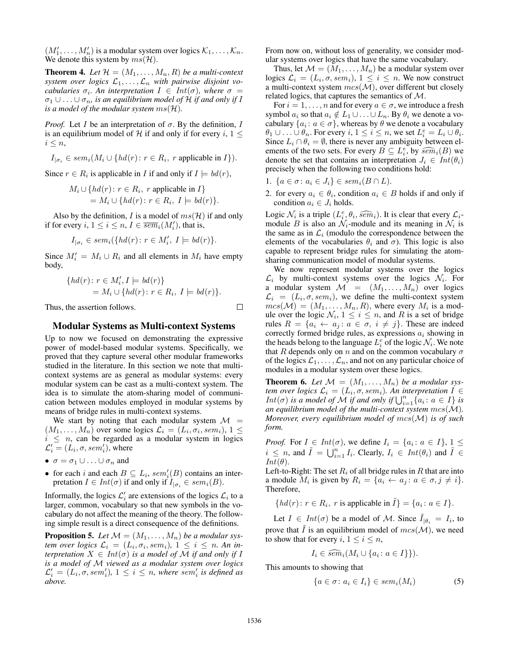$(M'_1, \ldots, M'_n)$  is a modular system over logics  $\mathcal{K}_1, \ldots, \mathcal{K}_n$ . We denote this system by  $ms(\mathcal{H})$ .

**Theorem 4.** Let  $\mathcal{H} = (M_1, \ldots, M_n, R)$  be a multi-context system over logics  $\mathcal{L}_1, \ldots, \mathcal{L}_n$  with pairwise disjoint vo*cabularies*  $\sigma_i$ *. An interpretation*  $I \in Int(\sigma)$ *, where*  $\sigma =$  $\sigma_1 \cup \ldots \cup \sigma_n$ , is an equilibrium model of H if and only if I *is a model of the modular system*  $ms(\mathcal{H})$ *.* 

*Proof.* Let I be an interpretation of  $\sigma$ . By the definition, I is an equilibrium model of H if and only if for every i,  $1 \leq$  $i \leq n$ ,

 $I_{|\sigma_i} \in sem_i(M_i \cup \{hd(r) : r \in R_i, r \text{ applicable in } I \}).$ 

Since  $r \in R_i$  is applicable in I if and only if  $I \models bd(r)$ ,

 $M_i \cup \{ hd(r) : r \in R_i, r \text{ applicable in } I \}$  $= M_i \cup \{ hd(r) \colon r \in R_i, I \models bd(r) \}.$ 

Also by the definition, I is a model of  $ms(\mathcal{H})$  if and only if for every  $i, 1 \le i \le n, I \in \overline{sem}_i(M'_i)$ , that is,

$$
I_{|\sigma_i} \in sem_i(\{hd(r) : r \in M'_i, I \models bd(r)\}.
$$

Since  $M'_i = M_i \cup R_i$  and all elements in  $M_i$  have empty body,

$$
\{hd(r): r \in M'_i, I \models bd(r)\}
$$
  
=  $M_i \cup \{hd(r): r \in R_i, I \models bd(r)\}.$ 

Thus, the assertion follows.

### Modular Systems as Multi-context Systems

Up to now we focused on demonstrating the expressive power of model-based modular systems. Specifically, we proved that they capture several other modular frameworks studied in the literature. In this section we note that multicontext systems are as general as modular systems: every modular system can be cast as a multi-context system. The idea is to simulate the atom-sharing model of communication between modules employed in modular systems by means of bridge rules in multi-context systems.

We start by noting that each modular system  $\mathcal{M}$  =  $(M_1, \ldots, M_n)$  over some logics  $\mathcal{L}_i = (L_i, \sigma_i, sem_i), 1 \leq$  $i \leq n$ , can be regarded as a modular system in logics  $\mathcal{L}'_i = (L_i, \sigma, sem'_i)$ , where

- $\sigma = \sigma_1 \cup ... \cup \sigma_n$  and
- for each i and each  $B \subseteq L_i$ , sem<sup>'</sup><sub>i</sub>(B) contains an interpretation  $I \in Int(\sigma)$  if and only if  $I_{|\sigma_i} \in sem_i(B)$ .

Informally, the logics  $\mathcal{L}'_i$  are extensions of the logics  $\mathcal{L}_i$  to a larger, common, vocabulary so that new symbols in the vocabulary do not affect the meaning of the theory. The following simple result is a direct consequence of the definitions.

**Proposition 5.** Let  $M = (M_1, \ldots, M_n)$  be a modular sys*tem over logics*  $\mathcal{L}_i = (L_i, \sigma_i, sem_i), 1 \leq i \leq n$ . An in*terpretation*  $X \in Int(\sigma)$  *is a model of* M *if and only if* I *is a model of* M *viewed as a modular system over logics*  $\mathcal{L}'_i = (L_i, \sigma, sem'_i), 1 \leq i \leq n$ , where sem'<sub>i</sub> is defined as *above.*

From now on, without loss of generality, we consider modular systems over logics that have the same vocabulary.

Thus, let  $\mathcal{M} = (M_1, \ldots, M_n)$  be a modular system over logics  $\mathcal{L}_i = (L_i, \sigma, sem_i), 1 \leq i \leq n$ . We now construct a multi-context system  $mcs(\mathcal{M})$ , over different but closely related logics, that captures the semantics of M.

For  $i = 1, \ldots, n$  and for every  $a \in \sigma$ , we introduce a fresh symbol  $a_i$  so that  $a_i \notin L_1 \cup \ldots \cup L_n$ . By  $\theta_i$  we denote a vocabulary  $\{a_i : a \in \sigma\}$ , whereas by  $\theta$  we denote a vocabulary  $\theta_1 \cup \ldots \cup \theta_n$ . For every  $i, 1 \leq i \leq n$ , we set  $L_i^e = L_i \cup \theta_i$ . Since  $L_i \cap \theta_i = \emptyset$ , there is never any ambiguity between elements of the two sets. For every  $B \subseteq L_{\epsilon}^e$ , by  $\widehat{sem}_i(B)$  we denote the set that contains an interpretation  $L \in Int(\theta)$ . denote the set that contains an interpretation  $J_i \in Int(\theta_i)$ precisely when the following two conditions hold:

- 1.  $\{a \in \sigma : a_i \in J_i\} \in sem_i(B \cap L)$ .
- 2. for every  $a_i \in \theta_i$ , condition  $a_i \in B$  holds if and only if condition  $a_i \in J_i$  holds.

Logic  $\mathcal{N}_i$  is a triple  $(L_i^e, \theta_i, \widehat{sem}_i)$ . It is clear that every  $\mathcal{L}_i$ -<br>module *B* is also an *N*-module and its meaning in *N* is module B is also an  $\mathcal{N}_i$ -module and its meaning in  $\mathcal{N}_i$  is the same as in  $\mathcal{L}_i$  (modulo the correspondence between the elements of the vocabularies  $\theta_i$  and  $\sigma$ ). This logic is also capable to represent bridge rules for simulating the atomsharing communication model of modular systems.

We now represent modular systems over the logics  $\mathcal{L}_i$  by multi-context systems over the logics  $\mathcal{N}_i$ . For a modular system  $M = (M_1, \ldots, M_n)$  over logics  $\mathcal{L}_i = (L_i, \sigma, sem_i),$  we define the multi-context system  $mcs(\mathcal{M}) = (M_1, \ldots, M_n, R)$ , where every  $M_i$  is a module over the logic  $\mathcal{N}_i$ ,  $1 \leq i \leq n$ , and R is a set of bridge rules  $R = \{a_i \leftarrow a_j : a \in \sigma, i \neq j\}$ . These are indeed correctly formed bridge rules, as expressions  $a_i$  showing in the heads belong to the language  $L_i^e$  of the logic  $\mathcal{N}_i$ . We note that R depends only on n and on the common vocabulary  $\sigma$ of the logics  $\mathcal{L}_1, \ldots, \mathcal{L}_n$ , and not on any particular choice of modules in a modular system over these logics.

**Theorem 6.** Let  $M = (M_1, \ldots, M_n)$  be a modular sys*tem over logics*  $\mathcal{L}_i = (L_i, \sigma, sem_i)$ . An interpretation  $I \in$ *Int*( $\sigma$ ) *is a model of*  $\hat{M}$  *if and only if*  $\bigcup_{i=1}^{n} \{a_i : a \in I\}$  *is an equilibrium model of the multi-context system* mcs(M)*. Moreover, every equilibrium model of* mcs(M) *is of such form.*

*Proof.* For  $I \in Int(\sigma)$ , we define  $I_i = \{a_i : a \in I\}, 1 \leq$  $i \leq n$ , and  $\tilde{I} = \bigcup_{i=1}^{n} I_i$ . Clearly,  $I_i \in Int(\theta_i)$  and  $\tilde{I} \in$  $Int(\theta).$ 

Left-to-Right: The set  $R_i$  of all bridge rules in R that are into a module  $M_i$  is given by  $R_i = \{a_i \leftarrow a_j : a \in \sigma, j \neq i\}.$ Therefore,

$$
\{ hd(r) \colon r \in R_i, \ r \text{ is applicable in } \tilde{I} \} = \{ a_i \colon a \in I \}.
$$

Let  $I \in Int(\sigma)$  be a model of M. Since  $\tilde{I}_{|\theta_i} = I_i$ , to prove that  $\tilde{I}$  is an equilibrium model of  $mcs(\mathcal{M})$ , we need to show that for every  $i, 1 \leq i \leq n$ ,

$$
I_i \in \widehat{sem}_i(M_i \cup \{a_i : a \in I\})
$$

This amounts to showing that

$$
\{a \in \sigma \colon a_i \in I_i\} \in sem_i(M_i) \tag{5}
$$

 $\Box$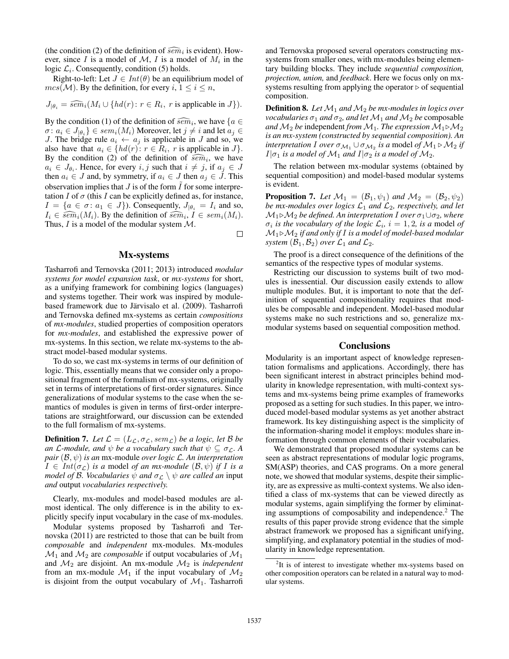(the condition (2) of the definition of  $\widehat{sem}_i$  is evident). How-<br>ever since *I* is a model of *M I* is a model of *M* in the ever, since I is a model of  $M$ , I is a model of  $M_i$  in the logic  $\mathcal{L}_i$ . Consequently, condition (5) holds.

Right-to-left: Let  $J \in Int(\theta)$  be an equilibrium model of  $mcs(\mathcal{M})$ . By the definition, for every  $i, 1 \leq i \leq n$ ,

$$
J_{|\theta_i} = \widehat{sem}_i(M_i \cup \{ hd(r) : r \in R_i, r \text{ is applicable in } J \}).
$$

By the condition (1) of the definition of  $\widehat{sem}_i$ , we have  $\{a \in \pi : a_i \in I_a\} \in sem(A_i)$ . Moreover, let  $i \neq i$  and let  $a_i \in I_a$  $\sigma \colon a_i \in J_{|\theta_i} \} \in sem_i(M_i)$  Moreover, let  $j \neq i$  and let  $a_j \in$ J. The bridge rule  $a_i \leftarrow a_j$  is applicable in J and so, we also have that  $a_i \in \{hd(r) : r \in R_i, r \text{ is applicable in } J \}.$ By the condition (2) of the definition of  $\widehat{sem}_i$ , we have  $a_i \in I_0$ . Hence for every *i i* such that  $i \neq i$  if  $a_i \in I$  $a_i \in J_{\theta_i}$ . Hence, for every  $i, j$  such that  $i \neq j$ , if  $a_j \in J$ then  $a_i \in J$  and, by symmetry, if  $a_i \in J$  then  $a_j \in J$ . This observation implies that  $J$  is of the form  $\tilde{I}$  for some interpretation  $I$  of  $\sigma$  (this  $I$  can be explicitly defined as, for instance,  $I = \{a \in \sigma : a_1 \in J\}$ ). Consequently,  $J_{|\theta_i} = I_i$  and so,  $I_i \in \widehat{sem}_i(M_i)$ . By the definition of  $\widehat{sem}_i, I \in sem_i(M_i)$ .<br>Thus *I* is a model of the modular system *M* Thus,  $I$  is a model of the modular system  $M$ .

 $\Box$ 

### Mx-systems

Tasharrofi and Ternovska (2011; 2013) introduced *modular systems for model expansion task*, or *mx-systems* for short, as a unifying framework for combining logics (languages) and systems together. Their work was inspired by modulebased framework due to Järvisalo et al. (2009). Tasharrofi and Ternovska defined mx-systems as certain *compositions* of *mx-modules*, studied properties of composition operators for *mx-modules*, and established the expressive power of mx-systems. In this section, we relate mx-systems to the abstract model-based modular systems.

To do so, we cast mx-systems in terms of our definition of logic. This, essentially means that we consider only a propositional fragment of the formalism of mx-systems, originally set in terms of interpretations of first-order signatures. Since generalizations of modular systems to the case when the semantics of modules is given in terms of first-order interpretations are straightforward, our discussion can be extended to the full formalism of mx-systems.

**Definition 7.** Let  $\mathcal{L} = (L_{\mathcal{L}}, \sigma_{\mathcal{L}}, sem_{\mathcal{L}})$  be a logic, let B be *an* L-module, and  $\psi$  *be a vocabulary such that*  $\psi \subseteq \sigma_{\mathcal{L}}$ . A *pair* (B, ψ) *is an* mx-module *over logic* L*. An interpretation*  $I \in Int(\sigma_{\mathcal{L}})$  *is a* model *of an mx-module*  $(\mathcal{B}, \psi)$  *if I is a model of B. Vocabularies*  $\psi$  *and*  $\sigma$ <sub>*c*</sub>  $\setminus \psi$  *are called an* input *and* output *vocabularies respectively.*

Clearly, mx-modules and model-based modules are almost identical. The only difference is in the ability to explicitly specify input vocabulary in the case of mx-modules.

Modular systems proposed by Tasharrofi and Ternovska (2011) are restricted to those that can be built from *composable* and *independent* mx-modules. Mx-modules  $\mathcal{M}_1$  and  $\mathcal{M}_2$  are *composable* if output vocabularies of  $\mathcal{M}_1$ and  $M_2$  are disjoint. An mx-module  $M_2$  is *independent* from an mx-module  $\mathcal{M}_1$  if the input vocabulary of  $\mathcal{M}_2$ is disjoint from the output vocabulary of  $\mathcal{M}_1$ . Tasharrofi

and Ternovska proposed several operators constructing mxsystems from smaller ones, with mx-modules being elementary building blocks. They include *sequential composition, projection, union,* and *feedback*. Here we focus only on mxsystems resulting from applying the operator  $\triangleright$  of sequential composition.

**Definition 8.** Let  $M_1$  and  $M_2$  be mx-modules in logics over *vocabularies*  $\sigma_1$  *and*  $\sigma_2$ *, and let*  $\mathcal{M}_1$  *and*  $\mathcal{M}_2$  *be* composable *and*  $M_2$  *be* independent *from*  $M_1$ *. The expression*  $M_1 \triangleright M_2$ *is an mx-system (constructed by sequential composition). An interpretation I over*  $\sigma_{\mathcal{M}_1} \cup \sigma_{\mathcal{M}_2}$  *is a* model *of*  $\mathcal{M}_1 \triangleright \mathcal{M}_2$  *if*  $I|\sigma_1$  *is a model of*  $M_1$  *and*  $I|\sigma_2$  *is a model of*  $M_2$ .

The relation between mx-modular systems (obtained by sequential composition) and model-based modular systems is evident.

**Proposition 7.** Let  $\mathcal{M}_1 = (\mathcal{B}_1, \psi_1)$  and  $\mathcal{M}_2 = (\mathcal{B}_2, \psi_2)$ *be mx-modules over logics*  $\mathcal{L}_1$  *and*  $\mathcal{L}_2$ *, respectively, and let*  $M_1 \triangleright M_2$  *be defined. An interpretation* I *over*  $\sigma_1 \cup \sigma_2$ *, where*  $\sigma_i$  *is the vocabulary of the logic*  $\mathcal{L}_i$ ,  $i = 1, 2$ , *is a* model *of*  $M_1 \triangleright M_2$  *if and only if*  $I$  *is a model of model-based modular system*  $(\mathcal{B}_1, \mathcal{B}_2)$  *over*  $\mathcal{L}_1$  *and*  $\mathcal{L}_2$ *.* 

The proof is a direct consequence of the definitions of the semantics of the respective types of modular systems.

Restricting our discussion to systems built of two modules is inessential. Our discussion easily extends to allow multiple modules. But, it is important to note that the definition of sequential compositionality requires that modules be composable and independent. Model-based modular systems make no such restrictions and so, generalize mxmodular systems based on sequential composition method.

#### **Conclusions**

Modularity is an important aspect of knowledge representation formalisms and applications. Accordingly, there has been significant interest in abstract principles behind modularity in knowledge representation, with multi-context systems and mx-systems being prime examples of frameworks proposed as a setting for such studies. In this paper, we introduced model-based modular systems as yet another abstract framework. Its key distinguishing aspect is the simplicity of the information-sharing model it employs: modules share information through common elements of their vocabularies.

We demonstrated that proposed modular systems can be seen as abstract representations of modular logic programs, SM(ASP) theories, and CAS programs. On a more general note, we showed that modular systems, despite their simplicity, are as expressive as multi-context systems. We also identified a class of mx-systems that can be viewed directly as modular systems, again simplifying the former by eliminating assumptions of composability and independence.<sup>2</sup> The results of this paper provide strong evidence that the simple abstract framework we proposed has a significant unifying, simplifying, and explanatory potential in the studies of modularity in knowledge representation.

 $2$ It is of interest to investigate whether mx-systems based on other composition operators can be related in a natural way to modular systems.